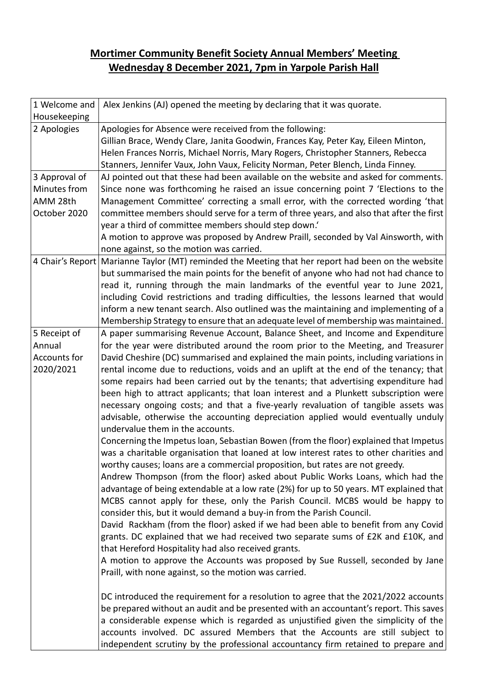## **Mortimer Community Benefit Society Annual Members' Meeting Wednesday 8 December 2021, 7pm in Yarpole Parish Hall**

| 1 Welcome and | Alex Jenkins (AJ) opened the meeting by declaring that it was quorate.                                                                                                       |
|---------------|------------------------------------------------------------------------------------------------------------------------------------------------------------------------------|
| Housekeeping  |                                                                                                                                                                              |
| 2 Apologies   | Apologies for Absence were received from the following:                                                                                                                      |
|               | Gillian Brace, Wendy Clare, Janita Goodwin, Frances Kay, Peter Kay, Eileen Minton,                                                                                           |
|               | Helen Frances Norris, Michael Norris, Mary Rogers, Christopher Stanners, Rebecca                                                                                             |
|               | Stanners, Jennifer Vaux, John Vaux, Felicity Norman, Peter Blench, Linda Finney.                                                                                             |
| 3 Approval of | AJ pointed out that these had been available on the website and asked for comments.                                                                                          |
| Minutes from  | Since none was forthcoming he raised an issue concerning point 7 'Elections to the                                                                                           |
| AMM 28th      | Management Committee' correcting a small error, with the corrected wording 'that                                                                                             |
| October 2020  | committee members should serve for a term of three years, and also that after the first                                                                                      |
|               | year a third of committee members should step down.                                                                                                                          |
|               | A motion to approve was proposed by Andrew Praill, seconded by Val Ainsworth, with                                                                                           |
|               | none against, so the motion was carried.<br>4 Chair's Report Marianne Taylor (MT) reminded the Meeting that her report had been on the website                               |
|               | but summarised the main points for the benefit of anyone who had not had chance to                                                                                           |
|               | read it, running through the main landmarks of the eventful year to June 2021,                                                                                               |
|               | including Covid restrictions and trading difficulties, the lessons learned that would                                                                                        |
|               | inform a new tenant search. Also outlined was the maintaining and implementing of a                                                                                          |
|               | Membership Strategy to ensure that an adequate level of membership was maintained.                                                                                           |
| 5 Receipt of  | A paper summarising Revenue Account, Balance Sheet, and Income and Expenditure                                                                                               |
| Annual        | for the year were distributed around the room prior to the Meeting, and Treasurer                                                                                            |
| Accounts for  | David Cheshire (DC) summarised and explained the main points, including variations in                                                                                        |
| 2020/2021     | rental income due to reductions, voids and an uplift at the end of the tenancy; that                                                                                         |
|               | some repairs had been carried out by the tenants; that advertising expenditure had                                                                                           |
|               | been high to attract applicants; that loan interest and a Plunkett subscription were                                                                                         |
|               | necessary ongoing costs; and that a five-yearly revaluation of tangible assets was                                                                                           |
|               | advisable, otherwise the accounting depreciation applied would eventually unduly                                                                                             |
|               | undervalue them in the accounts.                                                                                                                                             |
|               | Concerning the Impetus Ioan, Sebastian Bowen (from the floor) explained that Impetus                                                                                         |
|               | was a charitable organisation that loaned at low interest rates to other charities and                                                                                       |
|               | worthy causes; loans are a commercial proposition, but rates are not greedy.                                                                                                 |
|               | Andrew Thompson (from the floor) asked about Public Works Loans, which had the                                                                                               |
|               | advantage of being extendable at a low rate (2%) for up to 50 years. MT explained that                                                                                       |
|               | MCBS cannot apply for these, only the Parish Council. MCBS would be happy to                                                                                                 |
|               | consider this, but it would demand a buy-in from the Parish Council.                                                                                                         |
|               | David Rackham (from the floor) asked if we had been able to benefit from any Covid                                                                                           |
|               | grants. DC explained that we had received two separate sums of £2K and £10K, and                                                                                             |
|               | that Hereford Hospitality had also received grants.                                                                                                                          |
|               | A motion to approve the Accounts was proposed by Sue Russell, seconded by Jane                                                                                               |
|               | Praill, with none against, so the motion was carried.                                                                                                                        |
|               |                                                                                                                                                                              |
|               | DC introduced the requirement for a resolution to agree that the 2021/2022 accounts<br>be prepared without an audit and be presented with an accountant's report. This saves |
|               | a considerable expense which is regarded as unjustified given the simplicity of the                                                                                          |
|               | accounts involved. DC assured Members that the Accounts are still subject to                                                                                                 |
|               | independent scrutiny by the professional accountancy firm retained to prepare and                                                                                            |